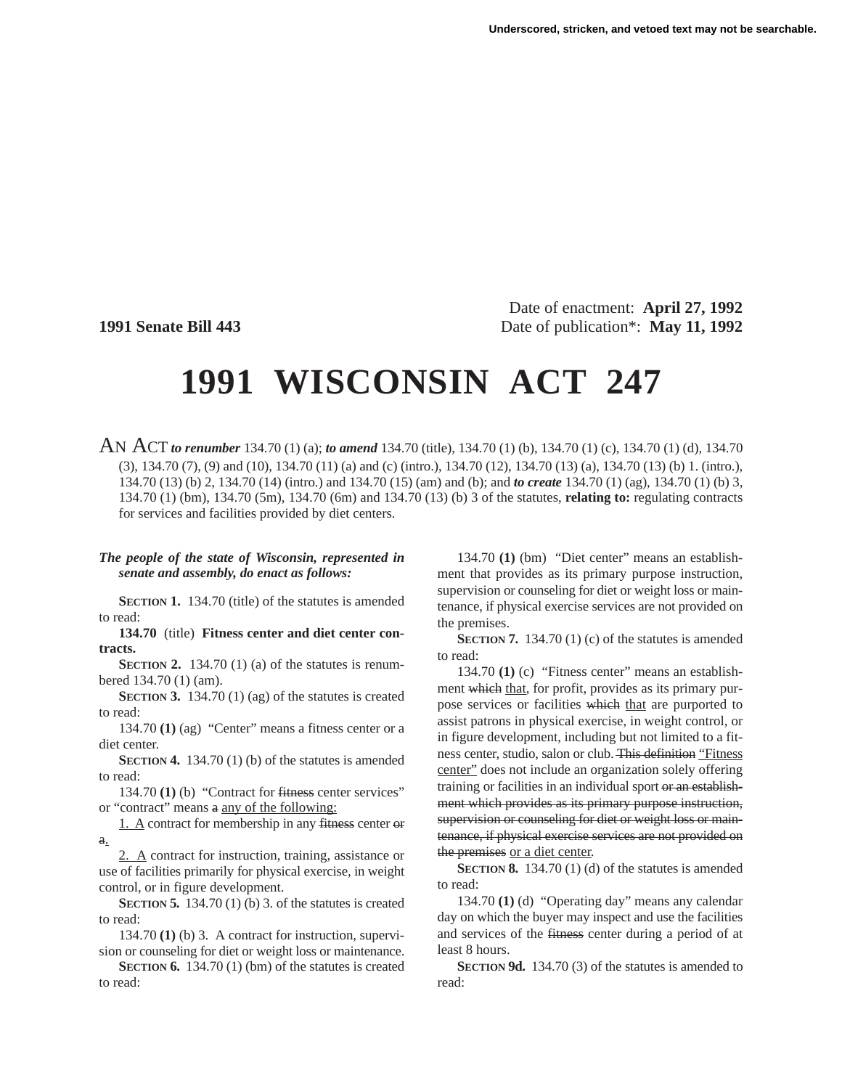Date of enactment: **April 27, 1992 1991 Senate Bill 443** Date of publication\*: **May 11, 1992**

## **1991 WISCONSIN ACT 247**

AN ACT *to renumber* 134.70 (1) (a); *to amend* 134.70 (title), 134.70 (1) (b), 134.70 (1) (c), 134.70 (1) (d), 134.70 (3), 134.70 (7), (9) and (10), 134.70 (11) (a) and (c) (intro.), 134.70 (12), 134.70 (13) (a), 134.70 (13) (b) 1. (intro.), 134.70 (13) (b) 2, 134.70 (14) (intro.) and 134.70 (15) (am) and (b); and *to create* 134.70 (1) (ag), 134.70 (1) (b) 3, 134.70 (1) (bm), 134.70 (5m), 134.70 (6m) and 134.70 (13) (b) 3 of the statutes, **relating to:** regulating contracts for services and facilities provided by diet centers.

## *The people of the state of Wisconsin, represented in senate and assembly, do enact as follows:*

**SECTION 1.** 134.70 (title) of the statutes is amended to read:

**134.70** (title) **Fitness center and diet center contracts.**

**SECTION 2.** 134.70 (1) (a) of the statutes is renumbered 134.70 (1) (am).

**SECTION 3.** 134.70 (1) (ag) of the statutes is created to read:

134.70 **(1)** (ag) "Center" means a fitness center or a diet center.

**SECTION 4.** 134.70 (1) (b) of the statutes is amended to read:

134.70 **(1)** (b) "Contract for fitness center services" or "contract" means a any of the following:

1. A contract for membership in any fitness center or a.

2. A contract for instruction, training, assistance or use of facilities primarily for physical exercise, in weight control, or in figure development.

**SECTION 5.** 134.70 (1) (b) 3. of the statutes is created to read:

134.70 **(1)** (b) 3. A contract for instruction, supervision or counseling for diet or weight loss or maintenance.

**SECTION 6.** 134.70 (1) (bm) of the statutes is created to read:

134.70 **(1)** (bm) "Diet center" means an establishment that provides as its primary purpose instruction, supervision or counseling for diet or weight loss or maintenance, if physical exercise services are not provided on the premises.

**SECTION 7.** 134.70 (1) (c) of the statutes is amended to read:

134.70 **(1)** (c) "Fitness center" means an establishment which that, for profit, provides as its primary purpose services or facilities which that are purported to assist patrons in physical exercise, in weight control, or in figure development, including but not limited to a fitness center, studio, salon or club. This definition "Fitness" center" does not include an organization solely offering training or facilities in an individual sport or an establishment which provides as its primary purpose instruction, supervision or counseling for diet or weight loss or maintenance, if physical exercise services are not provided on the premises or a diet center.

**SECTION 8.** 134.70 (1) (d) of the statutes is amended to read:

134.70 **(1)** (d) "Operating day" means any calendar day on which the buyer may inspect and use the facilities and services of the fitness center during a period of at least 8 hours.

**SECTION 9d.** 134.70 (3) of the statutes is amended to read: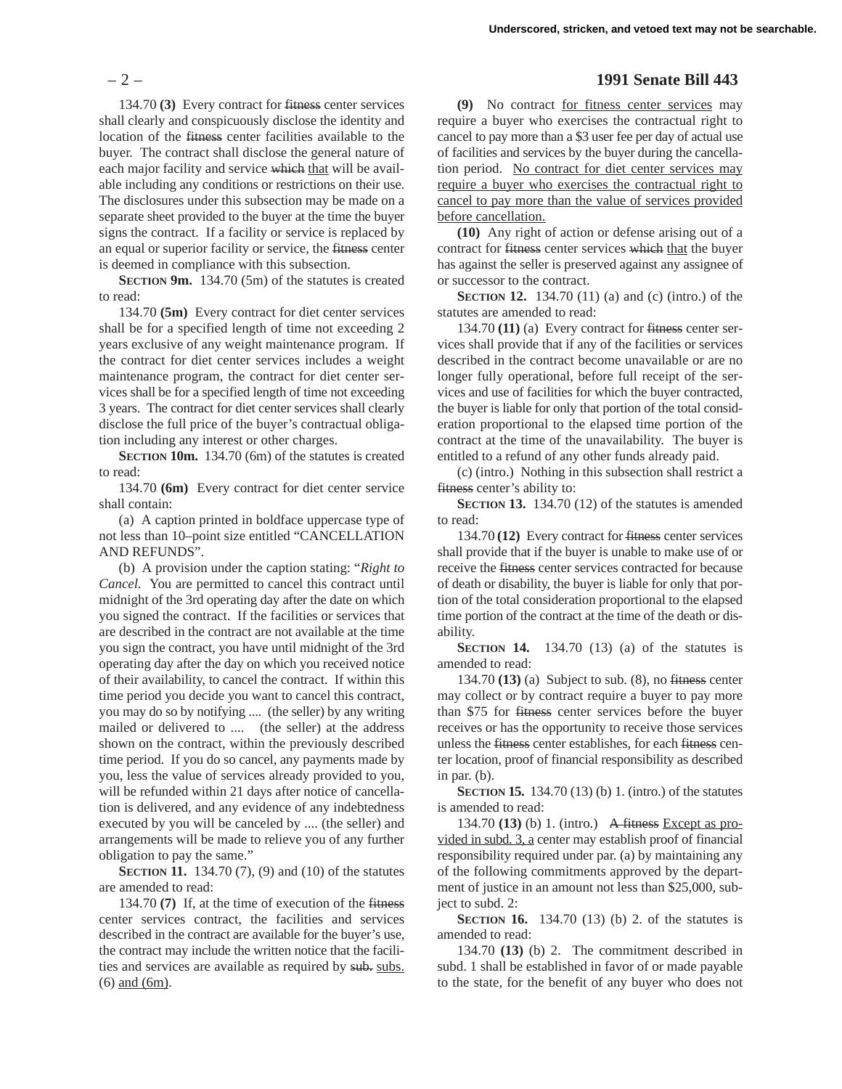134.70 **(3)** Every contract for fitness center services shall clearly and conspicuously disclose the identity and location of the fitness center facilities available to the buyer. The contract shall disclose the general nature of each major facility and service which that will be available including any conditions or restrictions on their use. The disclosures under this subsection may be made on a separate sheet provided to the buyer at the time the buyer signs the contract. If a facility or service is replaced by an equal or superior facility or service, the fitness center is deemed in compliance with this subsection.

**SECTION 9m.** 134.70 (5m) of the statutes is created to read:

134.70 **(5m)** Every contract for diet center services shall be for a specified length of time not exceeding 2 years exclusive of any weight maintenance program. If the contract for diet center services includes a weight maintenance program, the contract for diet center services shall be for a specified length of time not exceeding 3 years. The contract for diet center services shall clearly disclose the full price of the buyer's contractual obligation including any interest or other charges.

**SECTION 10m.** 134.70 (6m) of the statutes is created to read:

134.70 **(6m)** Every contract for diet center service shall contain:

(a) A caption printed in boldface uppercase type of not less than 10–point size entitled "CANCELLATION AND REFUNDS".

(b) A provision under the caption stating: "*Right to Cancel.* You are permitted to cancel this contract until midnight of the 3rd operating day after the date on which you signed the contract. If the facilities or services that are described in the contract are not available at the time you sign the contract, you have until midnight of the 3rd operating day after the day on which you received notice of their availability, to cancel the contract. If within this time period you decide you want to cancel this contract, you may do so by notifying .... (the seller) by any writing mailed or delivered to .... (the seller) at the address shown on the contract, within the previously described time period. If you do so cancel, any payments made by you, less the value of services already provided to you, will be refunded within 21 days after notice of cancellation is delivered, and any evidence of any indebtedness executed by you will be canceled by .... (the seller) and arrangements will be made to relieve you of any further obligation to pay the same."

**SECTION 11.** 134.70 (7), (9) and (10) of the statutes are amended to read:

134.70 **(7)** If, at the time of execution of the fitness center services contract, the facilities and services described in the contract are available for the buyer's use, the contract may include the written notice that the facilities and services are available as required by sub. subs. (6) and (6m).

## – 2 – **1991 Senate Bill 443**

**(9)** No contract for fitness center services may require a buyer who exercises the contractual right to cancel to pay more than a \$3 user fee per day of actual use of facilities and services by the buyer during the cancellation period. No contract for diet center services may require a buyer who exercises the contractual right to cancel to pay more than the value of services provided before cancellation.

**(10)** Any right of action or defense arising out of a contract for fitness center services which that the buyer has against the seller is preserved against any assignee of or successor to the contract.

**SECTION 12.** 134.70 (11) (a) and (c) (intro.) of the statutes are amended to read:

134.70 **(11)** (a) Every contract for fitness center services shall provide that if any of the facilities or services described in the contract become unavailable or are no longer fully operational, before full receipt of the services and use of facilities for which the buyer contracted, the buyer is liable for only that portion of the total consideration proportional to the elapsed time portion of the contract at the time of the unavailability. The buyer is entitled to a refund of any other funds already paid.

(c) (intro.) Nothing in this subsection shall restrict a fitness center's ability to:

**SECTION 13.** 134.70 (12) of the statutes is amended to read:

134.70 **(12)** Every contract for fitness center services shall provide that if the buyer is unable to make use of or receive the fitness center services contracted for because of death or disability, the buyer is liable for only that portion of the total consideration proportional to the elapsed time portion of the contract at the time of the death or disability.

**SECTION 14.** 134.70 (13) (a) of the statutes is amended to read:

134.70 **(13)** (a) Subject to sub. (8), no fitness center may collect or by contract require a buyer to pay more than \$75 for fitness center services before the buyer receives or has the opportunity to receive those services unless the fitness center establishes, for each fitness center location, proof of financial responsibility as described in par. (b).

**SECTION 15.** 134.70 (13) (b) 1. (intro.) of the statutes is amended to read:

134.70 **(13)** (b) 1. (intro.) A fitness Except as provided in subd. 3, a center may establish proof of financial responsibility required under par. (a) by maintaining any of the following commitments approved by the department of justice in an amount not less than \$25,000, subject to subd. 2:

**SECTION 16.** 134.70 (13) (b) 2. of the statutes is amended to read:

134.70 **(13)** (b) 2. The commitment described in subd. 1 shall be established in favor of or made payable to the state, for the benefit of any buyer who does not